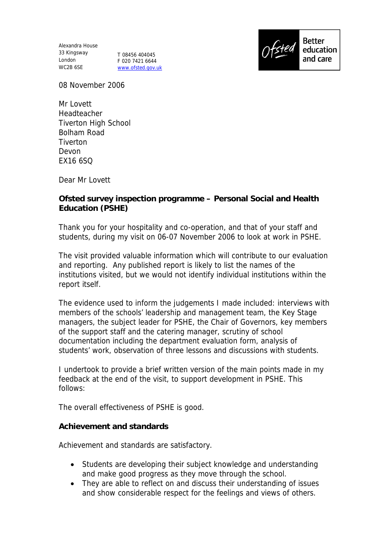Alexandra House 33 Kingsway London T 08456 404045 WC2B 6SE

F 020 7421 6644 www.ofsted.gov.uk



08 November 2006

Mr Lovett Headteacher Tiverton High School Bolham Road **Tiverton** Devon EX16 6SQ

Dear Mr Lovett

**Ofsted survey inspection programme – Personal Social and Health Education (PSHE)**

Thank you for your hospitality and co-operation, and that of your staff and students, during my visit on 06-07 November 2006 to look at work in PSHE.

The visit provided valuable information which will contribute to our evaluation and reporting. Any published report is likely to list the names of the institutions visited, but we would not identify individual institutions within the report itself.

The evidence used to inform the judgements I made included: interviews with members of the schools' leadership and management team, the Key Stage managers, the subject leader for PSHE, the Chair of Governors, key members of the support staff and the catering manager, scrutiny of school documentation including the department evaluation form, analysis of students' work, observation of three lessons and discussions with students.

I undertook to provide a brief written version of the main points made in my feedback at the end of the visit, to support development in PSHE. This follows:

The overall effectiveness of PSHE is good.

**Achievement and standards**

Achievement and standards are satisfactory.

- Students are developing their subject knowledge and understanding and make good progress as they move through the school.
- They are able to reflect on and discuss their understanding of issues and show considerable respect for the feelings and views of others.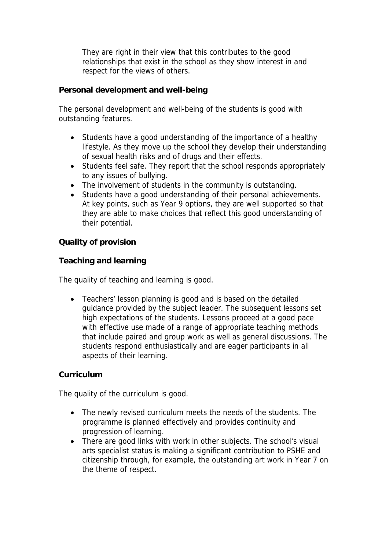They are right in their view that this contributes to the good relationships that exist in the school as they show interest in and respect for the views of others.

**Personal development and well-being**

The personal development and well-being of the students is good with outstanding features.

- Students have a good understanding of the importance of a healthy lifestyle. As they move up the school they develop their understanding of sexual health risks and of drugs and their effects.
- Students feel safe. They report that the school responds appropriately to any issues of bullying.
- The involvement of students in the community is outstanding.
- Students have a good understanding of their personal achievements. At key points, such as Year 9 options, they are well supported so that they are able to make choices that reflect this good understanding of their potential.

**Quality of provision**

**Teaching and learning**

The quality of teaching and learning is good.

• Teachers' lesson planning is good and is based on the detailed guidance provided by the subject leader. The subsequent lessons set high expectations of the students. Lessons proceed at a good pace with effective use made of a range of appropriate teaching methods that include paired and group work as well as general discussions. The students respond enthusiastically and are eager participants in all aspects of their learning.

## **Curriculum**

The quality of the curriculum is good.

- The newly revised curriculum meets the needs of the students. The programme is planned effectively and provides continuity and progression of learning.
- There are good links with work in other subjects. The school's visual arts specialist status is making a significant contribution to PSHE and citizenship through, for example, the outstanding art work in Year 7 on the theme of respect.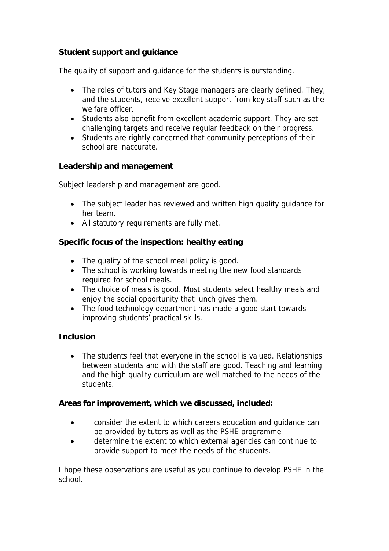## **Student support and guidance**

The quality of support and guidance for the students is outstanding.

- The roles of tutors and Key Stage managers are clearly defined. They, and the students, receive excellent support from key staff such as the welfare officer.
- Students also benefit from excellent academic support. They are set challenging targets and receive regular feedback on their progress.
- Students are rightly concerned that community perceptions of their school are inaccurate.

**Leadership and management**

Subject leadership and management are good.

- The subject leader has reviewed and written high quality quidance for her team.
- All statutory requirements are fully met.

**Specific focus of the inspection: healthy eating**

- The quality of the school meal policy is good.
- The school is working towards meeting the new food standards required for school meals.
- The choice of meals is good. Most students select healthy meals and enjoy the social opportunity that lunch gives them.
- The food technology department has made a good start towards improving students' practical skills.

**Inclusion**

• The students feel that everyone in the school is valued. Relationships between students and with the staff are good. Teaching and learning and the high quality curriculum are well matched to the needs of the students.

**Areas for improvement, which we discussed, included:**

- consider the extent to which careers education and guidance can be provided by tutors as well as the PSHE programme
- determine the extent to which external agencies can continue to provide support to meet the needs of the students.

I hope these observations are useful as you continue to develop PSHE in the school.